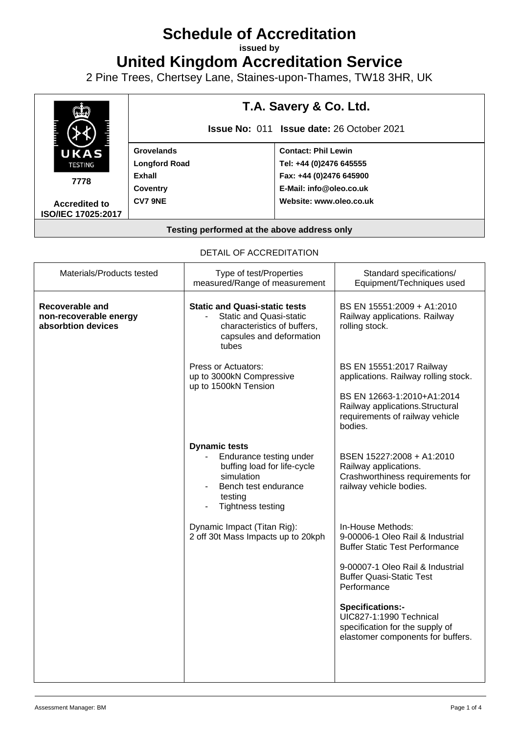# **Schedule of Accreditation**

**issued by**

**United Kingdom Accreditation Service**

2 Pine Trees, Chertsey Lane, Staines-upon-Thames, TW18 3HR, UK



| Materials/Products tested                                       | Type of test/Properties<br>measured/Range of measurement                                                                                                    | Standard specifications/<br>Equipment/Techniques used                                                                                                                            |
|-----------------------------------------------------------------|-------------------------------------------------------------------------------------------------------------------------------------------------------------|----------------------------------------------------------------------------------------------------------------------------------------------------------------------------------|
| Recoverable and<br>non-recoverable energy<br>absorbtion devices | <b>Static and Quasi-static tests</b><br><b>Static and Quasi-static</b><br>characteristics of buffers,<br>capsules and deformation<br>tubes                  | BS EN 15551:2009 + A1:2010<br>Railway applications. Railway<br>rolling stock.                                                                                                    |
|                                                                 | <b>Press or Actuators:</b><br>up to 3000kN Compressive<br>up to 1500kN Tension                                                                              | BS EN 15551:2017 Railway<br>applications. Railway rolling stock.<br>BS EN 12663-1:2010+A1:2014<br>Railway applications. Structural<br>requirements of railway vehicle<br>bodies. |
|                                                                 | <b>Dynamic tests</b><br>Endurance testing under<br>buffing load for life-cycle<br>simulation<br>Bench test endurance<br>testing<br><b>Tightness testing</b> | BSEN 15227:2008 + A1:2010<br>Railway applications.<br>Crashworthiness requirements for<br>railway vehicle bodies.                                                                |
|                                                                 | Dynamic Impact (Titan Rig):<br>2 off 30t Mass Impacts up to 20kph                                                                                           | In-House Methods:<br>9-00006-1 Oleo Rail & Industrial<br><b>Buffer Static Test Performance</b>                                                                                   |
|                                                                 |                                                                                                                                                             | 9-00007-1 Oleo Rail & Industrial<br><b>Buffer Quasi-Static Test</b><br>Performance                                                                                               |
|                                                                 |                                                                                                                                                             | Specifications:-<br>UIC827-1:1990 Technical<br>specification for the supply of<br>elastomer components for buffers.                                                              |
|                                                                 |                                                                                                                                                             |                                                                                                                                                                                  |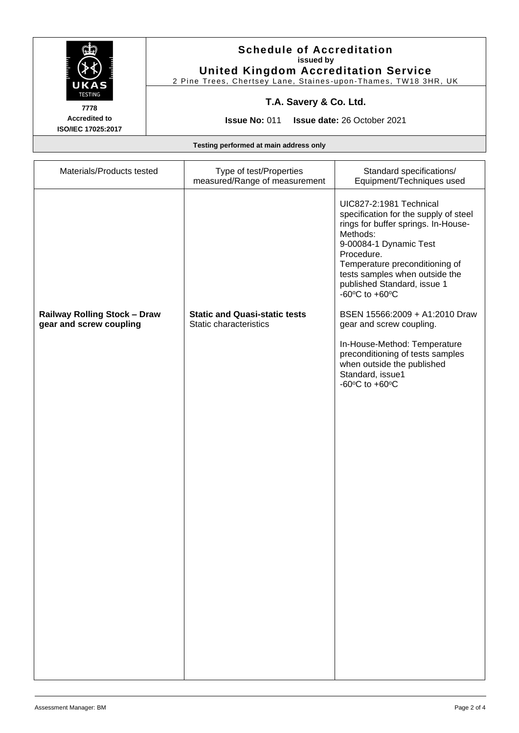

#### **Schedule of Accreditation issued by United Kingdom Accreditation Service**

2 Pine Trees, Chertsey Lane, Staines -upon -Thames, TW18 3HR, UK

# **T.A. Savery & Co. Ltd.**

**7778 Accredited to ISO/IEC 17025:2017**

**Issue No:** 011 **Issue date:** 26 October 2021

**Testing performed at main address only**

| Materials/Products tested                                      | Type of test/Properties<br>measured/Range of measurement       | Standard specifications/<br>Equipment/Techniques used                                                                                                                                                                                                                                                                  |
|----------------------------------------------------------------|----------------------------------------------------------------|------------------------------------------------------------------------------------------------------------------------------------------------------------------------------------------------------------------------------------------------------------------------------------------------------------------------|
|                                                                |                                                                | UIC827-2:1981 Technical<br>specification for the supply of steel<br>rings for buffer springs. In-House-<br>Methods:<br>9-00084-1 Dynamic Test<br>Procedure.<br>Temperature preconditioning of<br>tests samples when outside the<br>published Standard, issue 1<br>-60 $\mathrm{^{\circ}C}$ to +60 $\mathrm{^{\circ}C}$ |
| <b>Railway Rolling Stock - Draw</b><br>gear and screw coupling | <b>Static and Quasi-static tests</b><br>Static characteristics | BSEN 15566:2009 + A1:2010 Draw<br>gear and screw coupling.                                                                                                                                                                                                                                                             |
|                                                                |                                                                | In-House-Method: Temperature<br>preconditioning of tests samples<br>when outside the published<br>Standard, issue1<br>-60 $\mathrm{^{\circ}C}$ to +60 $\mathrm{^{\circ}C}$                                                                                                                                             |
|                                                                |                                                                |                                                                                                                                                                                                                                                                                                                        |
|                                                                |                                                                |                                                                                                                                                                                                                                                                                                                        |
|                                                                |                                                                |                                                                                                                                                                                                                                                                                                                        |
|                                                                |                                                                |                                                                                                                                                                                                                                                                                                                        |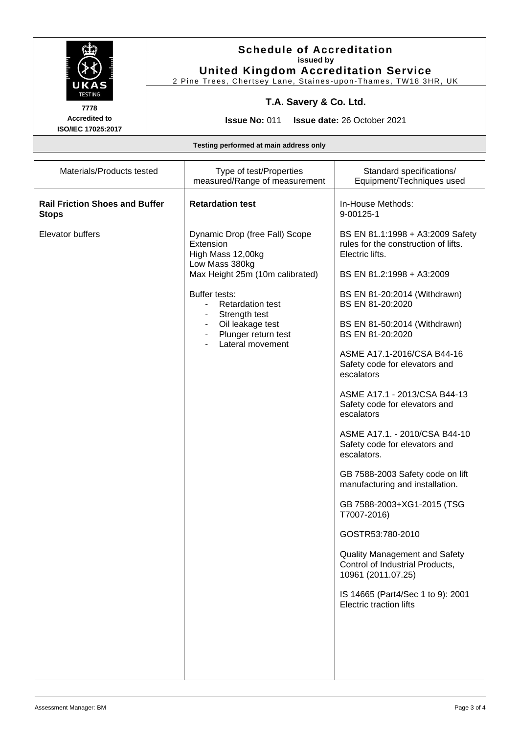

#### **Schedule of Accreditation issued by United Kingdom Accreditation Service**

2 Pine Trees, Chertsey Lane, Staines -upon -Thames, TW18 3HR, UK

### **T.A. Savery & Co. Ltd.**

**7778 Accredited to ISO/IEC 17025:2017**

**Issue No:** 011 **Issue date:** 26 October 2021

**Testing performed at main address only**

| measured/Range of measurement                                                                                                                                                                                                                                                                                                                                                                            | Standard specifications/<br>Equipment/Techniques used                                                                                                                                                                                                                                                                                                                                                                                                                                                                                                                                                                                                                                                            |
|----------------------------------------------------------------------------------------------------------------------------------------------------------------------------------------------------------------------------------------------------------------------------------------------------------------------------------------------------------------------------------------------------------|------------------------------------------------------------------------------------------------------------------------------------------------------------------------------------------------------------------------------------------------------------------------------------------------------------------------------------------------------------------------------------------------------------------------------------------------------------------------------------------------------------------------------------------------------------------------------------------------------------------------------------------------------------------------------------------------------------------|
| <b>Rail Friction Shoes and Buffer</b><br><b>Retardation test</b><br>9-00125-1<br><b>Stops</b>                                                                                                                                                                                                                                                                                                            | In-House Methods:                                                                                                                                                                                                                                                                                                                                                                                                                                                                                                                                                                                                                                                                                                |
| Elevator buffers<br>Dynamic Drop (free Fall) Scope<br>Extension<br>High Mass 12,00kg<br>Electric lifts.<br>Low Mass 380kg<br>Max Height 25m (10m calibrated)<br>Buffer tests:<br><b>Retardation test</b><br>$\blacksquare$<br>Strength test<br>Oil leakage test<br>$\blacksquare$<br>Plunger return test<br>$\blacksquare$<br>Lateral movement<br>escalators<br>escalators<br>escalators.<br>T7007-2016) | BS EN 81.1:1998 + A3:2009 Safety<br>rules for the construction of lifts.<br>BS EN 81.2:1998 + A3:2009<br>BS EN 81-20:2014 (Withdrawn)<br>BS EN 81-20:2020<br>BS EN 81-50:2014 (Withdrawn)<br>BS EN 81-20:2020<br>ASME A17.1-2016/CSA B44-16<br>Safety code for elevators and<br>ASME A17.1 - 2013/CSA B44-13<br>Safety code for elevators and<br>ASME A17.1. - 2010/CSA B44-10<br>Safety code for elevators and<br>GB 7588-2003 Safety code on lift<br>manufacturing and installation.<br>GB 7588-2003+XG1-2015 (TSG<br>GOSTR53:780-2010<br><b>Quality Management and Safety</b><br>Control of Industrial Products,<br>10961 (2011.07.25)<br>IS 14665 (Part4/Sec 1 to 9): 2001<br><b>Electric traction lifts</b> |